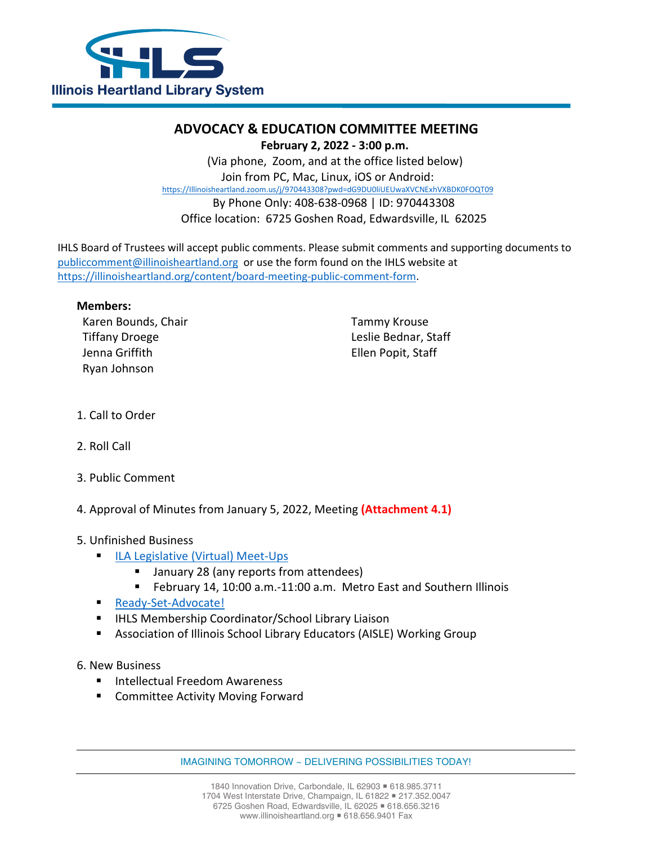

# **ADVOCACY & EDUCATION COMMITTEE MEETING**

 **February 2, 2022 - 3:00 p.m.** 

 (Via phone, Zoom, and at the office listed below) Join from PC, Mac, Linux, iOS or Android: [https://Illinoisheartland.zoom.us/j/970443308?pwd=dG9DU0liUEUwaXVCNExhVXBDK0FOQT09](https://illinoisheartland.zoom.us/j/970443308?pwd=dG9DU0liUEUwaXVCNExhVXBDK0FOQT09) By Phone Only: 408-638-0968 | ID: 970443308 Office location: 6725 Goshen Road, Edwardsville, IL 62025

IHLS Board of Trustees will accept public comments. Please submit comments and supporting documents to [publiccomment@illinoisheartland.org](mailto:publiccomment@illinoisheartland.org) or use the form found on the IHLS website at [https://illinoisheartland.org/content/board-meeting-public-comment-form.](https://illinoisheartland.org/content/board-meeting-public-comment-form)

#### **Members:**

Karen Bounds, Chair Tiffany Droege Jenna Griffith Ryan Johnson

Tammy Krouse Leslie Bednar, Staff Ellen Popit, Staff

- 1. Call to Order
- 2. Roll Call
- 3. Public Comment
- 4. Approval of Minutes from January 5, 2022, Meeting **(Attachment 4.1)**

### 5. Unfinished Business

- **[ILA Legislative \(Virtual\) Meet-Ups](https://www.ila.org/events/legislative-meet-ups)** 
	- January 28 (any reports from attendees)
	- February 14, 10:00 a.m.-11:00 a.m. Metro East and Southern Illinois
- **[Ready-Set-Advocate!](https://www.ila.org/advocacy/ready-set-advocate)**
- **IFLES Membership Coordinator/School Library Liaison**
- Association of Illinois School Library Educators (AISLE) Working Group
- 6. New Business
	- Intellectual Freedom Awareness
	- **E** Committee Activity Moving Forward